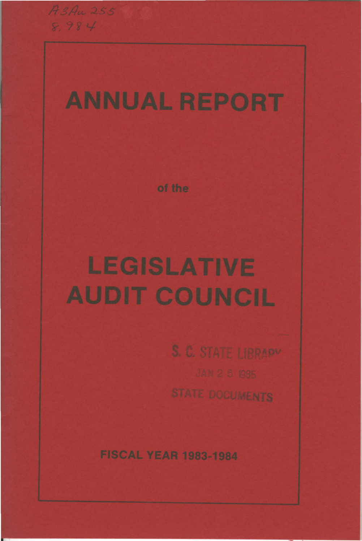A3Au 255 8984

## **ANNUAL REPORT**

of the

# **LEGISLATIVE AUDIT COUNCIL**

**FISCAL YEAR 1983-1984**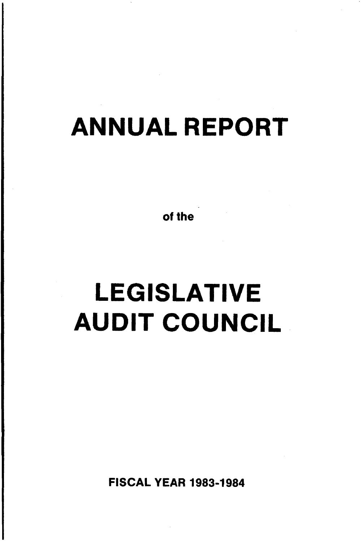## ANNUAL REPORT

of the

# **AUDIT COUNCIL** LEGISLATIVE

**FISCAL YEAR 1983-1984**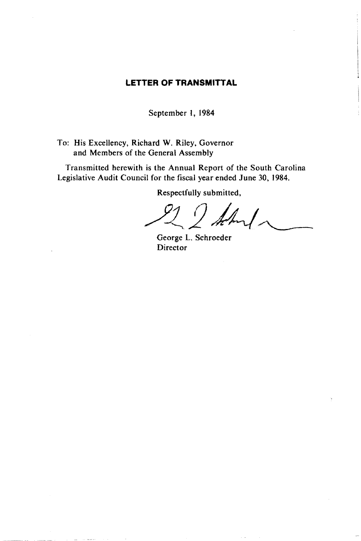#### **LETTER OF TRANSMITTAL**

September l, 1984

To: His Excellency, Richard W. Riley, Governor and Members of the General Assembly

Transmitted herewith is the Annual Report of the South Carolina Legislative Audit Council for the fiscal year ended June 30, 1984.

Respectfully submitted,

 $d_{\rm int}$ 

George L. Schroeder **Director**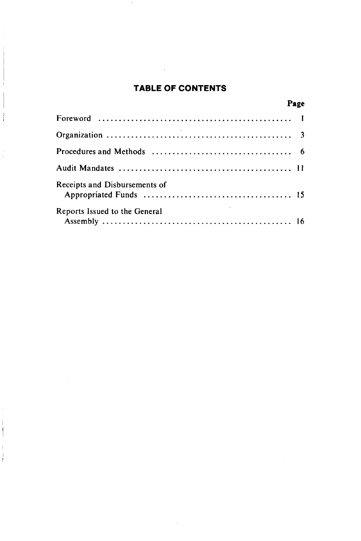## **TABLE OF CONTENTS**

 $\mathcal{L}^{\text{max}}_{\text{max}}$  , where  $\mathcal{L}^{\text{max}}_{\text{max}}$ 

| Page                          |  |
|-------------------------------|--|
|                               |  |
|                               |  |
|                               |  |
|                               |  |
| Receipts and Disbursements of |  |
| Reports Issued to the General |  |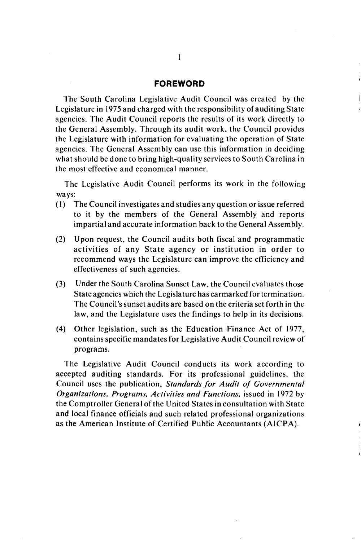#### **FOREWORD**

The South Carolina Legislative Audit Council was created by the Legislature in 1975 and charged with the responsibility of auditing State agencies. The Audit Council reports the results of its work directly to the General Assembly. Through its audit work, the Council provides the Legislature with information for evaluating the operation of State agencies. The General Assembly can use this information in deciding what should be done to bring high-quality services to South Carolina in the most effective and economical manner.

The Legislative Audit Council performs its work in the following ways:

- (I) The Council investigates and studies any question or issue referred to it by the members of the General Assembly and reports impartial and accurate information back to the General Assembly.
- (2) Upon request, the Council audits both fiscal and programmatic activities of any State agency or institution in order to recommend ways the Legislature can improve the efficiency and effectiveness of such agencies.
- (3) Under the South Carolina Sunset Law, the Council evaluates those State agencies which the Legislature has earmarked for termination. The Council's sunset audits are based on the criteria set forth in the law, and the Legislature uses the findings to help in its decisions.
- (4) Other legislation, such as the Education Finance Act of 1977, contains specific mandates for Legislative Audit Council review of programs.

The Legislative Audit Council conducts its work according to accepted auditing standards. For its professional guidelines, the Council uses the publication, *Standards for Audit of Governmental Organizations, Programs, Activities and Functions,* issued in 1972 by the Comptroller General of the United States in consultation with State and local finance officials and such related professional organizations as the American Institute of Certified Public Accountants (AICPA).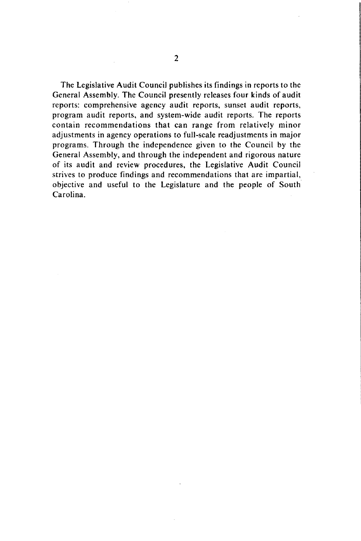The Legislative Audit Council publishes its findings in reports to the General Assembly. The Council presently releases four kinds of audit reports: comprehensive agency audit reports, sunset audit reports, program audit reports, and system-wide audit reports. The reports contain recommendations that can range from relatively minor adjustments in agency operations to full-scale readjustments in major programs. Through the independence given to the Council by the General Assembly, and through the independent and rigorous nature of its audit and review procedures, the Legislative Audit Council strives to produce findings and recommendations that are impartial, objective and useful to the Legislature and the people of South Carolina.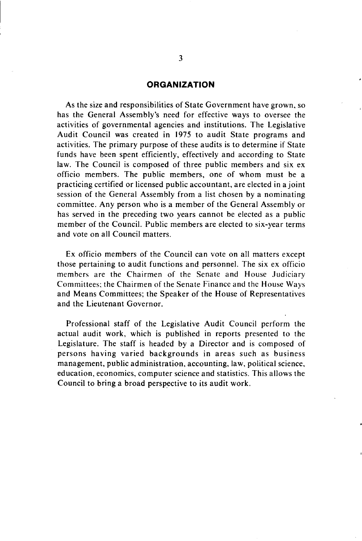#### **ORGANIZATION**

As the size and responsibilities of State Government have grown, so has the General Assembly's need for effective ways to oversee the activities of governmental agencies and institutions. The Legislative Audit Council was created in 1975 to audit State programs and activities. The primary purpose of these audits is to determine if State funds have been spent efficiently, effectively and according to State law. The Council is composed of three public members and six ex officio members. The public members, one of whom must be a practicing certified or licensed public accountant, are elected in a joint session of the General Assembly from a list chosen by a nominating committee. Any person who is a member of the General Assembly or has served in the preceding two years cannot be elected as a public member of the Council. Public members are elected to six-year terms and vote on all Council matters.

Ex officio members of the Council can vote on all matters except those pertaining to audit functions and personnel. The six ex officio members are the Chairmen of the Senate and House Judiciary Committees: the Chairmen of the Senate Finance and the House Ways and Means Committees; the Speaker of the House of Representatives and the Lieutenant Governor.

Professional staff of the Legislative Audit Council perform the actual audit work, which is published in reports presented to the Legislature. The staff is headed by a Director and is composed of persons having varied backgrounds in areas such as business management, public administration, accounting, law, political science, education, economics, computer science and statistics. This allows the Council to bring a broad perspective to its audit work.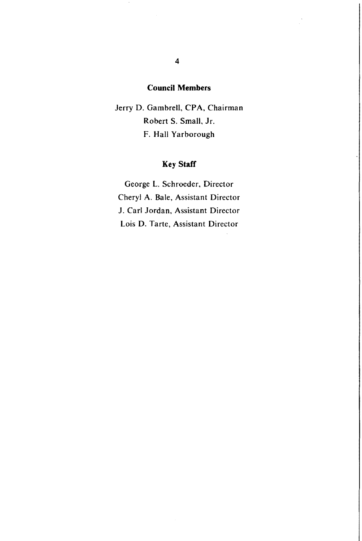#### **Council Members**

Jerry D. Gambrell, CPA, Chairman Robert S. Small, Jr. F. Hall Yarborough

## **Key Staff**

George L. Schroeder, Director Cheryl A. Bale, Assistant Director J. Carl Jordan, Assistant Director Lois D. Tarte, Assistant Director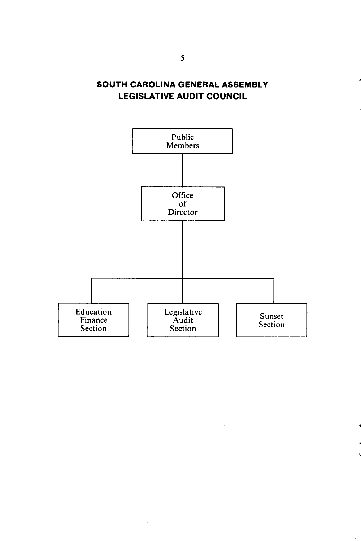## **SOUTH CAROLINA GENERAL ASSEMBLY LEGISLATIVE AUDIT COUNCIL**

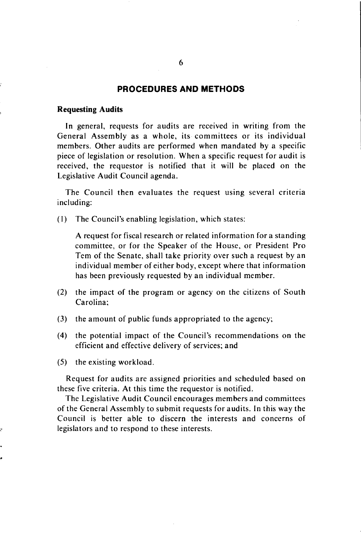#### **PROCEDURES AND METHODS**

#### **Requesting Audits**

In general, requests for audits are received in writing from the General Assembly as a whole, its committees or its individual members. Other audits are performed when mandated by a specific piece of legislation or resolution. When a specific request for audit is received, the requestor is notified that it will be placed on the Legislative Audit Council agenda.

The Council then evaluates the request using several criteria including:

(I) The Council's enabling legislation, which states:

A request for fiscal research or related information for a standing committee, or for the Speaker of the House, or President Pro Tem of the Senate, shall take priority over such a request by an individual member of either body, except where that information has been previously requested by an individual member.

- (2) the impact of the program or agency on the citizens of South Carolina;
- (3) the amount of public funds appropriated to the agency;
- (4) the potential impact of the Council's recommendations on the efficient and effective delivery of services; and
- (5) the existing workload.

Request for audits are assigned priorities and scheduled based on these five criteria. At this time the requestor is notified.

The Legislative Audit Council encourages members and committees of the General Assembly to submit requests for audits. In this way the Council is better able to discern the interests and concerns of legislators and to respond to these interests.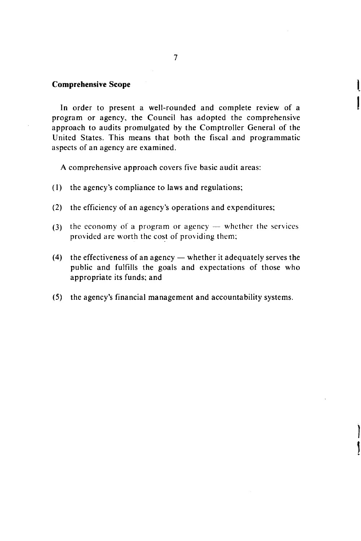#### **Comprehensive Scope**

In order to present a well-rounded and complete review of a program or agency, the Council has adopted the comprehensive approach to audits promulgated by the Comptroller General of the United States. This means that both the fiscal and programmatic aspects of an agency are examined.

A comprehensive approach covers five basic audit areas:

- (I) the agency's compliance to laws and regulations;
- (2) the efficiency of an agency's operations and expenditures;
- (3) the economy of a program or agency  $-$  whether the services provided are worth the cost of providing them:
- (4) the effectiveness of an agency  $-\omega$  whether it adequately serves the public and fulfills the goals and expectations of those who appropriate its funds; and
- (5) the agency's financial management and accountability systems.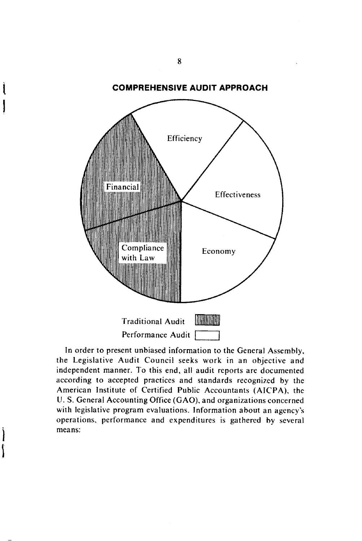

In order to present unbiased information to the General Assembly, the Legislative Audit Council seeks work in an objective and independent manner. To this end, all audit reports are documented according to accepted practices and standards recognized by the American Institute of Certified Public Accountants (AICPA), the U. S. General Accounting Office (GAO), and organizations concerned with legislative program evaluations. Information about an agency's operations, performance and expenditures is gathered by several means: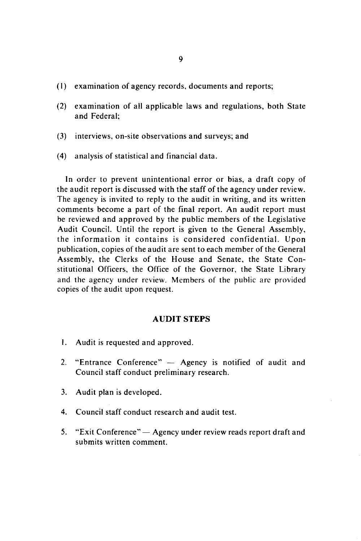- (I) examination of agency records, documents and reports;
- (2) examination of all applicable laws and regulations, both State and Federal;
- (3) interviews, on-site observations and surveys; and
- ( 4) analysis of statistical and financial data.

In order to prevent unintentional error or bias, a draft copy of the audit report is discussed with the staff of the agency under review. The agency is invited to reply to the audit in writing, and its written comments become a part of the final report. An audit report must be reviewed and approved by the public members of the Legislative Audit Council. Until the report is given to the General Assembly, the information it contains is considered confidential. Upon publication, copies of the audit are sent to each member of the General Assembly, the Clerks of the House and Senate, the State Constitutional Officers, the Office of the Governor, the State Library and the agency under review. Members of the public are provided copies of the audit upon request.

#### **AUDIT STEPS**

- I. Audit is requested and approved.
- 2. "Entrance Conference" Agency is notified of audit and Council staff conduct preliminary research.
- 3. Audit plan is developed.
- 4. Council staff conduct research and audit test.
- 5. "Exit Conference" Agency under review reads report draft and submits written comment.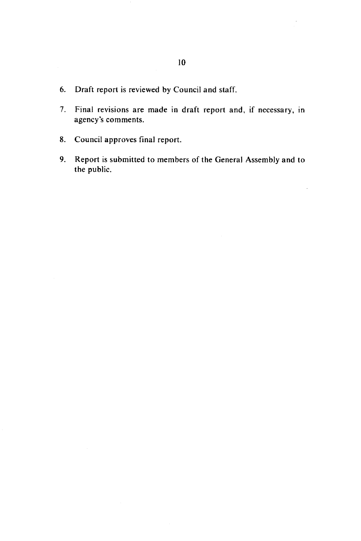- 6. Draft report is reviewed by Council and staff.
- 7. Final revisions are made in draft report and, if necessary, in agency's comments.
- 8. Council approves final report.
- 9. Report is submitted to members of the General Assembly and to the public.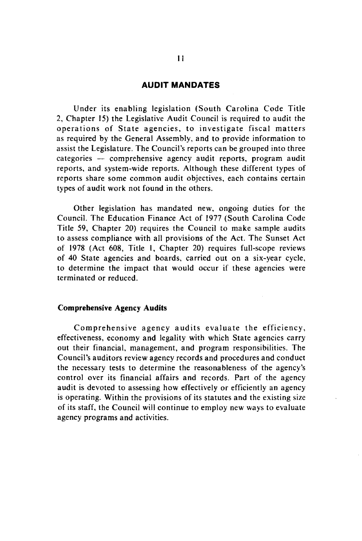#### **AUDIT MANDATES**

Under its enabling legislation (South Carolina Code Title 2, Chapter 15) the Legislative Audit Council is required to audit the operations of State agencies, to investigate fiscal matters as required by the General Assembly, and to provide information to assist the Legislature. The Council's reports can be grouped into three  $categories$  comprehensive agency audit reports, program audit reports, and system-wide reports. Although these different types of reports share some common audit objectives, each contains certain types of audit work not found in the others.

Other legislation has mandated new, ongoing duties for the Council. The Education Finance Act of 1977 (South Carolina Code Title 59, Chapter 20) requires the Council to make sample audits to assess compliance with all provisions of the Act. The Sunset Act of 1978 (Act 608, Title I, Chapter 20) requires full-scope reviews of 40 State agencies and boards, carried out on a six-year cycle, to determine the impact that would occur if these agencies were terminated or reduced.

#### Comprehensive Agency Audits

Comprehensive agency audits evaluate the efficiency, effectiveness, economy and legality with which State agencies carry out their financial, management, and program responsibilities. The Council's auditors review agency records and procedures and conduct the necessary tests to determine the reasonableness of the agency's control over its financial affairs and records. Part of the agency audit is devoted to assessing how effectively or efficiently an agency is operating. Within the provisions of its statutes and the existing size of its staff, the Council will continue to employ new ways to evaluate agency programs and activities.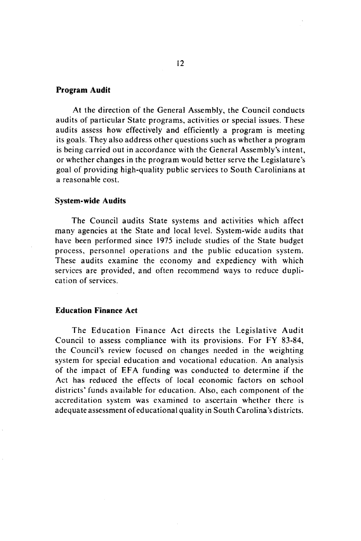#### **Program Audit**

At the direction of the General Assembly, the Council conducts audits of particular State programs, activities or special issues. These audits assess how effectively and efficiently a program is meeting its goals. They also address other questions such as whether a program is being carried out in accordance with the General Assembly's intent, or whether changes in the program would better serve the Legislature's goal of providing high-quality public services to South Carolinians at a reasonable cost.

#### **System-wide Audits**

The Council audits State systems and activities which affect many agencies at the State and local level. System-wide audits that have been performed since 1975 include studies of the State budget process, personnel operations and the public education system. These audits examine the economy and expediency with which services are provided, and often recommend ways to reduce duplication of services.

#### **Education Finance Act**

The Education Finance Act directs the Legislative Audit Council to assess compliance with its provisions. For FY 83-84, the Council's review focused on changes needed in the weighting system for special education and vocational education. An analysis of the impact of EFA funding was conducted to determine if the Act has reduced the effects of local economic factors on school districts' funds available for education. Also, each component of the accreditation system was examined to ascertain whether there is adequate assessment of educational quality in South Carolina's districts.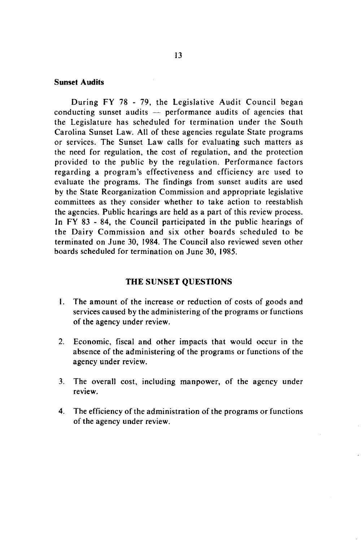#### Sunset Audits

During FY 78 - 79, the Legislative Audit Council began conducting sunset audits  $\rightharpoonup$  performance audits of agencies that the Legislature has scheduled for termination under the South Carolina Sunset Law. All of these agencies regulate State programs or services. The Sunset Law calls for evaluating such matters as the need for regulation, the cost of regulation, and the protection provided to the public by the regulation. Performance factors regarding a program's effectiveness and efficiency are used to evaluate the programs. The findings from sunset audits are used by the State Reorganization Commission and appropriate legislative committees as they consider whether to take action to reestablish the agencies. Public hearings are held as a part of this review process. In FY 83 - 84, the Council participated in the public hearings of the Dairy Commission and six other boards scheduled to be terminated on June 30, 1984. The Council also reviewed seven other boards scheduled for termination on June 30, 1985.

#### THE SUNSET QUESTIONS

- I. The amount of the increase or reduction of costs of goods and services caused by the administering of the programs or functions of the agency under review.
- 2. Economic, fiscal and other impacts that would occur in the absence of the administering of the programs or functions of the agency under review.
- 3. The overall cost, including manpower, of the agency under review.
- 4. The efficiency of the administration of the programs or functions of the agency under review.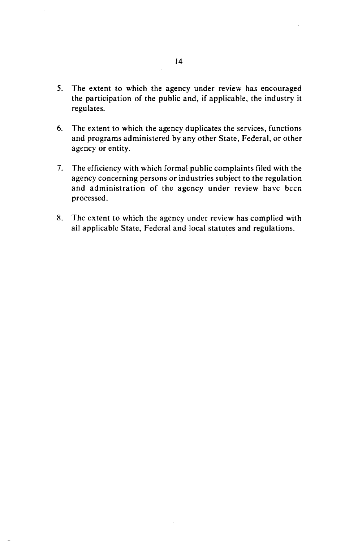- *5.* The extent to which the agency under review has encouraged the participation of the public and, if applicable, the industry it regulates.
- 6. The extent to which the agency duplicates the services, functions and programs administered by any other State, Federal, or other agency or entity.
- 7. The efficiency with which formal public complaints filed with the agency concerning persons or industries subject to the regulation and administration of the agency under review have been processed.
- 8. The extent to which the agency under review has complied with all applicable State, Federal and local statutes and regulations.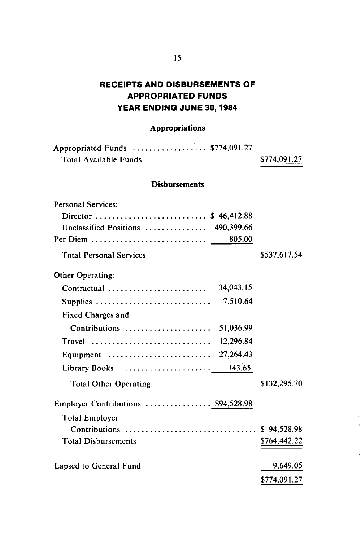## **RECEIPTS AND DISBURSEMENTS OF APPROPRIATED FUNDS YEAR ENDING JUNE 30, 1984**

### **Appropriations**

| Appropriated Funds  \$774,091.27 |  |
|----------------------------------|--|
| Total Available Funds            |  |

74,091.27

\$537,617.54

#### **Disbursements**

| Personal Services:     |  |
|------------------------|--|
| Director  \$ 46,412.88 |  |

| Unclassified Positions  490,399.66 |        |
|------------------------------------|--------|
| Per Diem                           | 805.00 |
|                                    |        |

| Other Operating:                                                       |              |
|------------------------------------------------------------------------|--------------|
| 34,043.15<br>Contractual                                               |              |
| 7,510.64<br>Supplies                                                   |              |
| Fixed Charges and                                                      |              |
| Contributions<br>51,036.99                                             |              |
| 12,296.84<br>Travel                                                    |              |
| Equipment $\dots\dots\dots\dots\dots\dots\dots\dots\dots$<br>27,264.43 |              |
| 143.65<br>Library Books                                                |              |
| <b>Total Other Operating</b>                                           | \$132,295.70 |
| Employer Contributions  \$94,528.98                                    |              |
| <b>Total Employer</b>                                                  |              |
| Contributions                                                          | \$94,528.98  |
| <b>Total Disbursements</b>                                             | \$764,442.22 |
| Lapsed to General Fund                                                 | 9,649.05     |
|                                                                        | \$774,091.27 |